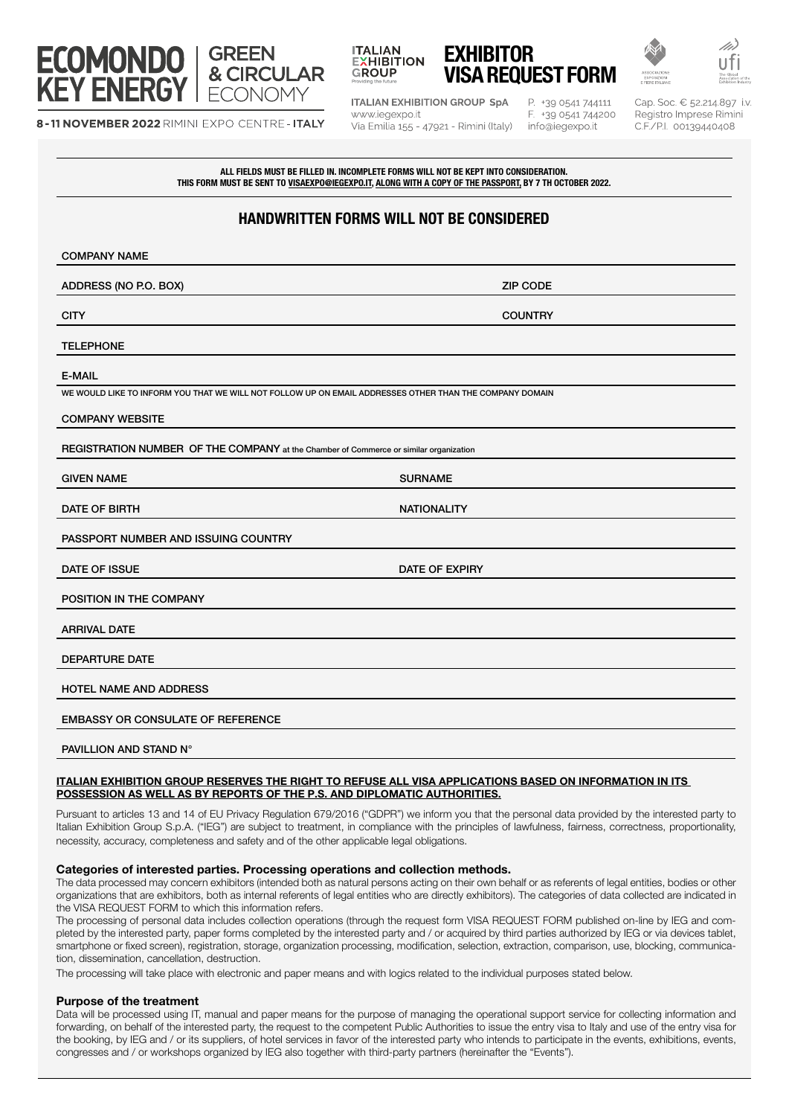

8-11 NOVEMBER 2022 RIMINI EXPO CENTRE - ITALY



EXHIBITOR VISA REQUEST FORM

**ITALIAN EXHIBITION GROUP SpA** www.iegexpo.it Via Emilia 155 - 47921 - Rimini (Italy)

P. +39 0541 744111 F. +39 0541 744200 info@iegexpo.it

Cap. Soc. € 52.214.897 i.v. Registro Imprese Rimini C.F./P.I. 00139440408

ALL FIELDS MUST BE FILLED IN. INCOMPLETE FORMS WILL NOT BE KEPT INTO CONSIDERATION. THIS FORM MUST BE SENT TO VISAEXPO@IEGEXPO.IT, ALONG WITH A COPY OF THE PASSPORT, BY 7 TH OCTOBER 2022.

# HANDWRITTEN FORMS WILL NOT BE CONSIDERED

| <b>COMPANY NAME</b>                                                                                     |                    |
|---------------------------------------------------------------------------------------------------------|--------------------|
| ADDRESS (NO P.O. BOX)                                                                                   | <b>ZIP CODE</b>    |
| <b>CITY</b>                                                                                             | <b>COUNTRY</b>     |
| <b>TELEPHONE</b>                                                                                        |                    |
| <b>E-MAIL</b>                                                                                           |                    |
| WE WOULD LIKE TO INFORM YOU THAT WE WILL NOT FOLLOW UP ON EMAIL ADDRESSES OTHER THAN THE COMPANY DOMAIN |                    |
| <b>COMPANY WEBSITE</b>                                                                                  |                    |
| REGISTRATION NUMBER OF THE COMPANY at the Chamber of Commerce or similar organization                   |                    |
| <b>GIVEN NAME</b>                                                                                       | <b>SURNAME</b>     |
| DATE OF BIRTH                                                                                           | <b>NATIONALITY</b> |
| PASSPORT NUMBER AND ISSUING COUNTRY                                                                     |                    |
| DATE OF ISSUE                                                                                           | DATE OF EXPIRY     |
| POSITION IN THE COMPANY                                                                                 |                    |
| <b>ARRIVAL DATE</b>                                                                                     |                    |
| <b>DEPARTURE DATE</b>                                                                                   |                    |
| <b>HOTEL NAME AND ADDRESS</b>                                                                           |                    |
| <b>EMBASSY OR CONSULATE OF REFERENCE</b>                                                                |                    |
| PAVILLION AND STAND N°                                                                                  |                    |

#### ITALIAN EXHIBITION GROUP RESERVES THE RIGHT TO REFUSE ALL VISA APPLICATIONS BASED ON INFORMATION IN ITS POSSESSION AS WELL AS BY REPORTS OF THE P.S. AND DIPLOMATIC AUTHORITIES.

Pursuant to articles 13 and 14 of EU Privacy Regulation 679/2016 ("GDPR") we inform you that the personal data provided by the interested party to Italian Exhibition Group S.p.A. ("IEG") are subject to treatment, in compliance with the principles of lawfulness, fairness, correctness, proportionality, necessity, accuracy, completeness and safety and of the other applicable legal obligations.

## Categories of interested parties. Processing operations and collection methods.

The data processed may concern exhibitors (intended both as natural persons acting on their own behalf or as referents of legal entities, bodies or other organizations that are exhibitors, both as internal referents of legal entities who are directly exhibitors). The categories of data collected are indicated in the VISA REQUEST FORM to which this information refers.

The processing of personal data includes collection operations (through the request form VISA REQUEST FORM published on-line by IEG and completed by the interested party, paper forms completed by the interested party and / or acquired by third parties authorized by IEG or via devices tablet, smartphone or fixed screen), registration, storage, organization processing, modification, selection, extraction, comparison, use, blocking, communication, dissemination, cancellation, destruction.

The processing will take place with electronic and paper means and with logics related to the individual purposes stated below.

## Purpose of the treatment

Data will be processed using IT, manual and paper means for the purpose of managing the operational support service for collecting information and forwarding, on behalf of the interested party, the request to the competent Public Authorities to issue the entry visa to Italy and use of the entry visa for the booking, by IEG and / or its suppliers, of hotel services in favor of the interested party who intends to participate in the events, exhibitions, events, congresses and / or workshops organized by IEG also together with third-party partners (hereinafter the "Events").